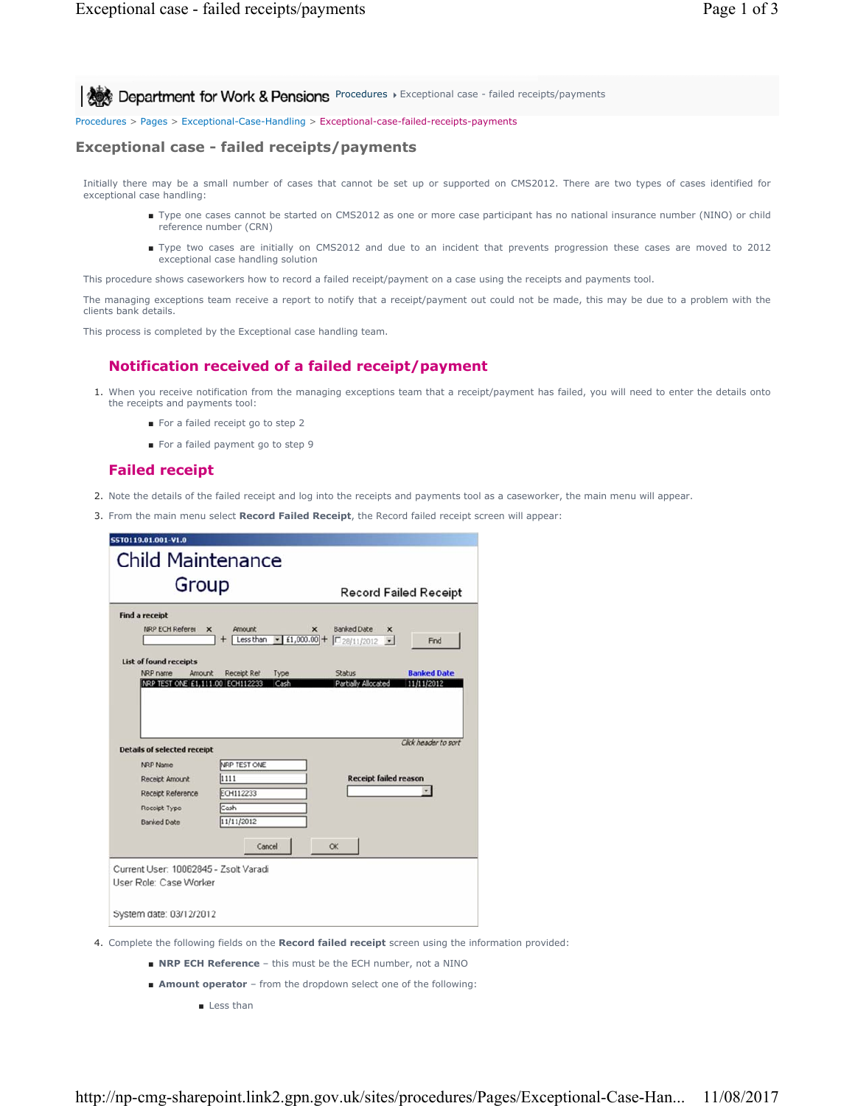**Procedures > Exceptional case - failed receipts/payments** 

Procedures > Pages > Exceptional-Case-Handling > Exceptional-case-failed-receipts-payments

#### **Exceptional case - failed receipts/payments**

Initially there may be a small number of cases that cannot be set up or supported on CMS2012. There are two types of cases identified for exceptional case handling:

- Type one cases cannot be started on CMS2012 as one or more case participant has no national insurance number (NINO) or child reference number (CRN)
- Type two cases are initially on CMS2012 and due to an incident that prevents progression these cases are moved to 2012 exceptional case handling solution

This procedure shows caseworkers how to record a failed receipt/payment on a case using the receipts and payments tool.

The managing exceptions team receive a report to notify that a receipt/payment out could not be made, this may be due to a problem with the clients bank details.

This process is completed by the Exceptional case handling team.

## **Notification received of a failed receipt/payment**

- 1. When you receive notification from the managing exceptions team that a receipt/payment has failed, you will need to enter the details onto the receipts and payments tool:
	- For a failed receipt go to step 2
	- For a failed payment go to step 9

## **Failed receipt**

- 2. Note the details of the failed receipt and log into the receipts and payments tool as a caseworker, the main menu will appear.
- 3. From the main menu select **Record Failed Receipt**, the Record failed receipt screen will appear:

| <b>Child Maintenance</b><br>Group<br><b>Record Failed Receipt</b><br><b>Find a receipt</b><br>NRP ECH Referer<br><b>Banked Date</b><br>$\mathbf x$<br>Amount<br>$\mathbf{x}$<br>×<br>$\cdot$ £1,000.00 + $\boxed{28/11/2012}$ $\cdot$<br>Less than<br>Find<br><b>List of found receipts</b><br><b>Banked Date</b><br>NRP name<br>Amount<br>Receipt Ref<br>Type<br><b>Status</b><br>NRP TEST ONE £1,111.00 ECH112233<br>11/11/2012<br>Cash<br>Partially Allocated<br>Click header to sort<br><b>Details of selected receipt</b><br>NRP TEST ONE<br>NRP Name<br><b>Receipt failed reason</b><br>1111<br>Receipt Amount<br><b>ECH112233</b><br>Receipt Reference<br>Cash<br>Receipt Type<br>11/11/2012<br><b>Banked Date</b><br>Cancel |  |
|-------------------------------------------------------------------------------------------------------------------------------------------------------------------------------------------------------------------------------------------------------------------------------------------------------------------------------------------------------------------------------------------------------------------------------------------------------------------------------------------------------------------------------------------------------------------------------------------------------------------------------------------------------------------------------------------------------------------------------------|--|
|                                                                                                                                                                                                                                                                                                                                                                                                                                                                                                                                                                                                                                                                                                                                     |  |
|                                                                                                                                                                                                                                                                                                                                                                                                                                                                                                                                                                                                                                                                                                                                     |  |
|                                                                                                                                                                                                                                                                                                                                                                                                                                                                                                                                                                                                                                                                                                                                     |  |
|                                                                                                                                                                                                                                                                                                                                                                                                                                                                                                                                                                                                                                                                                                                                     |  |
|                                                                                                                                                                                                                                                                                                                                                                                                                                                                                                                                                                                                                                                                                                                                     |  |
|                                                                                                                                                                                                                                                                                                                                                                                                                                                                                                                                                                                                                                                                                                                                     |  |
|                                                                                                                                                                                                                                                                                                                                                                                                                                                                                                                                                                                                                                                                                                                                     |  |
|                                                                                                                                                                                                                                                                                                                                                                                                                                                                                                                                                                                                                                                                                                                                     |  |
|                                                                                                                                                                                                                                                                                                                                                                                                                                                                                                                                                                                                                                                                                                                                     |  |
|                                                                                                                                                                                                                                                                                                                                                                                                                                                                                                                                                                                                                                                                                                                                     |  |
|                                                                                                                                                                                                                                                                                                                                                                                                                                                                                                                                                                                                                                                                                                                                     |  |
| OK                                                                                                                                                                                                                                                                                                                                                                                                                                                                                                                                                                                                                                                                                                                                  |  |
| Current User: 10062845 - Zsolt Varadi                                                                                                                                                                                                                                                                                                                                                                                                                                                                                                                                                                                                                                                                                               |  |
| User Role: Case Worker                                                                                                                                                                                                                                                                                                                                                                                                                                                                                                                                                                                                                                                                                                              |  |
| System date: 03/12/2012                                                                                                                                                                                                                                                                                                                                                                                                                                                                                                                                                                                                                                                                                                             |  |

- 4. Complete the following fields on the **Record failed receipt** screen using the information provided:
	- **NRP ECH Reference** this must be the ECH number, not a NINO
	- **Amount operator** from the dropdown select one of the following:
		- Less than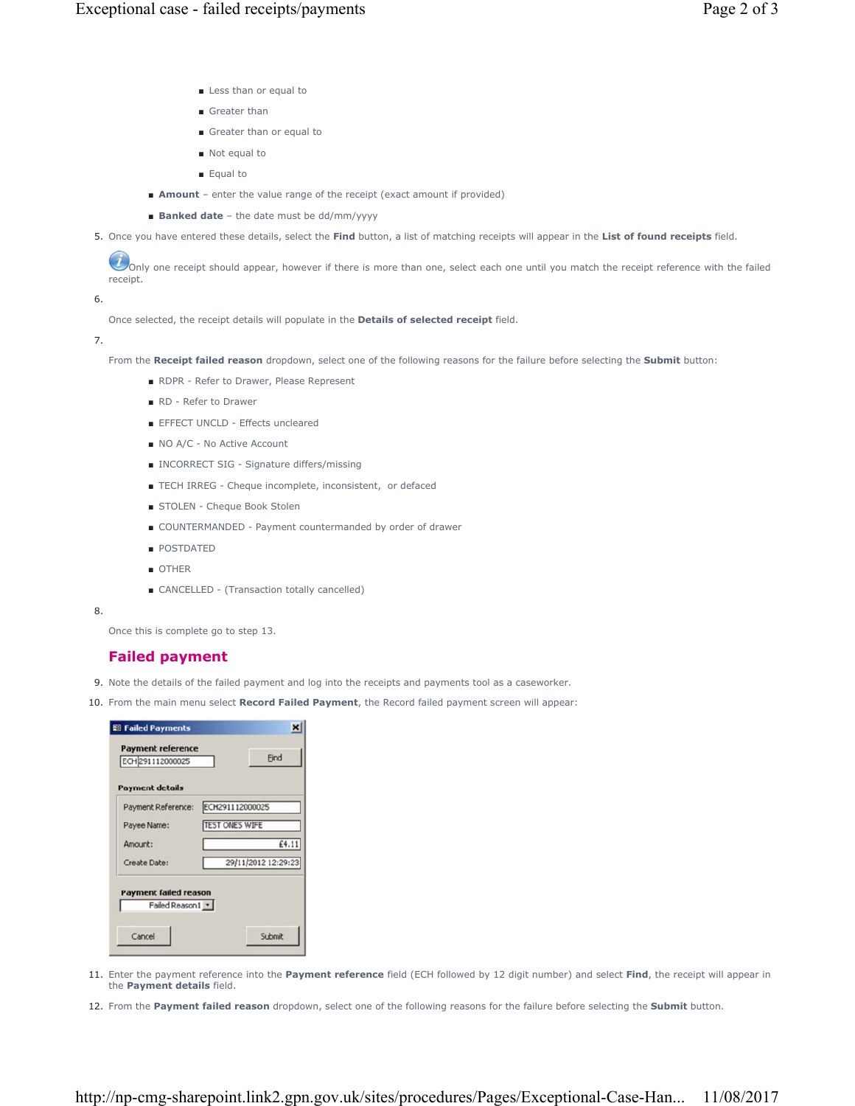- Less than or equal to
- Greater than
- Greater than or equal to
- Not equal to
- Equal to
- **Amount** enter the value range of the receipt (exact amount if provided)
- **Banked date** the date must be dd/mm/yyyy
- 5. Once you have entered these details, select the **Find** button, a list of matching receipts will appear in the **List of found receipts** field.

 $U$  only one receipt should appear, however if there is more than one, select each one until you match the receipt reference with the failed receipt.

6.

Once selected, the receipt details will populate in the **Details of selected receipt** field.

7.

From the **Receipt failed reason** dropdown, select one of the following reasons for the failure before selecting the **Submit** button:

- RDPR Refer to Drawer, Please Represent
- RD Refer to Drawer
- EFFECT UNCLD Effects uncleared
- NO A/C No Active Account
- INCORRECT SIG Signature differs/missing
- TECH IRREG Cheque incomplete, inconsistent, or defaced
- STOLEN Cheque Book Stolen
- COUNTERMANDED Payment countermanded by order of drawer
- POSTDATED
- OTHER
- CANCELLED (Transaction totally cancelled)

8.

Once this is complete go to step 13.

# **Failed payment**

- 9. Note the details of the failed payment and log into the receipts and payments tool as a caseworker.
- 10. From the main menu select **Record Failed Payment**, the Record failed payment screen will appear:

| <b>Payment details</b>       |                     |
|------------------------------|---------------------|
| Payment Reference:           | ECH291112000025     |
| Payee Name:                  | TEST ONES WIFE      |
| Amount:                      | £4.11               |
| Create Date:                 | 29/11/2012 12:29:23 |
| <b>Payment failed reason</b> |                     |
|                              |                     |

- 11. Enter the payment reference into the Payment reference field (ECH followed by 12 digit number) and select Find, the receipt will appear in the **Payment details** field.
- 12. From the **Payment failed reason** dropdown, select one of the following reasons for the failure before selecting the **Submit** button.